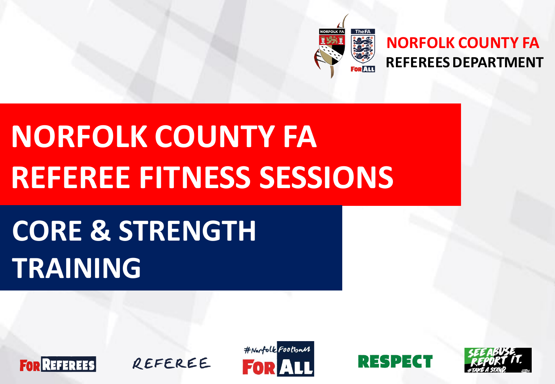

#### **NORFOLK COUNTY FA REFEREES DEPARTMENT**

# **NORFOLK COUNTY FA REFEREE FITNESS SESSIONS**

# **CORE & STRENGTH TRAINING**







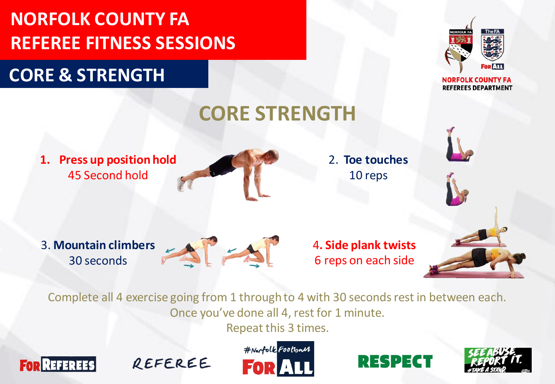#### **CORE & STRENGTH**



**NORFOLK COUNTY FA REFEREES DEPARTMENT** 



Complete all 4 exercise going from 1 through to 4 with 30 seconds rest in between each. Once you've done all 4, rest for 1 minute.

Repeat this 3 times.







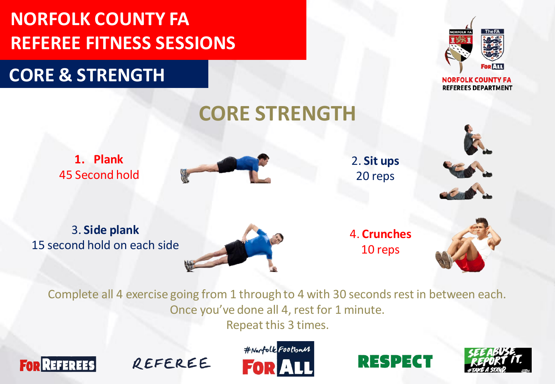### **CORE & STRENGTH**



**NORFOLK COUNTY FA REFEREES DEPARTMENT** 





2. **Sit ups** 20 reps

3. **Side plank** 15 second hold on each side



4. **Crunches** 10 reps



Complete all 4 exercise going from 1 through to 4 with 30 seconds rest in between each. Once you've done all 4, rest for 1 minute.

**CORE STRENGTH**

Repeat this 3 times.







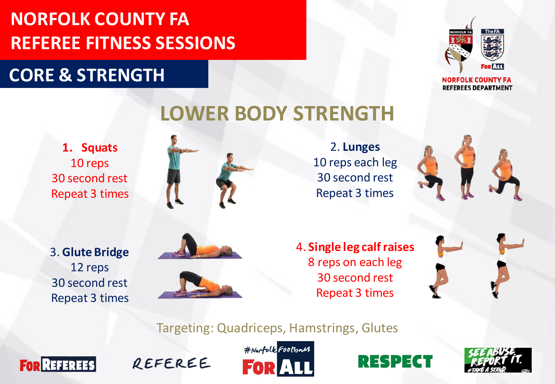### **CORE & STRENGTH**



**NORFOLK COUNTY FA REFEREES DEPARTMENT** 

# **LOWER BODY STRENGTH**

**1. Squats** 10 reps 30 second rest Repeat 3 times



2. **Lunges** 10 reps each leg 30 second rest Repeat 3 times



3. **Glute Bridge** 12 reps 30 second rest Repeat 3 times



4. **Single leg calf raises** 8 reps on each leg 30 second rest Repeat 3 times

Targeting: Quadriceps, Hamstrings, Glutes